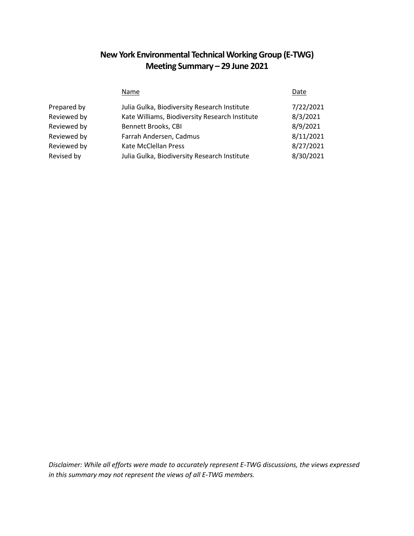# **New York Environmental Technical Working Group (E-TWG) Meeting Summary – 29 June 2021**

|             | Name                                           | Date      |
|-------------|------------------------------------------------|-----------|
| Prepared by | Julia Gulka, Biodiversity Research Institute   | 7/22/2021 |
| Reviewed by | Kate Williams, Biodiversity Research Institute | 8/3/2021  |
| Reviewed by | Bennett Brooks, CBI                            | 8/9/2021  |
| Reviewed by | Farrah Andersen, Cadmus                        | 8/11/2021 |
| Reviewed by | Kate McClellan Press                           | 8/27/2021 |
| Revised by  | Julia Gulka, Biodiversity Research Institute   | 8/30/2021 |

*Disclaimer: While all efforts were made to accurately represent E-TWG discussions, the views expressed in this summary may not represent the views of all E-TWG members.*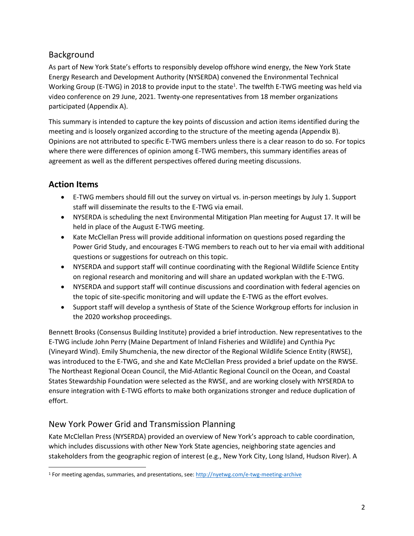### Background

As part of New York State's efforts to responsibly develop offshore wind energy, the New York State Energy Research and Development Authority (NYSERDA) convened the Environmental Technical Working Group (E-TWG) in 2018 to provide input to the state<sup>1</sup>. The twelfth E-TWG meeting was held via video conference on 29 June, 2021. Twenty-one representatives from 18 member organizations participated (Appendix A).

This summary is intended to capture the key points of discussion and action items identified during the meeting and is loosely organized according to the structure of the meeting agenda (Appendix B). Opinions are not attributed to specific E-TWG members unless there is a clear reason to do so. For topics where there were differences of opinion among E-TWG members, this summary identifies areas of agreement as well as the different perspectives offered during meeting discussions.

# **Action Items**

- E-TWG members should fill out the survey on virtual vs. in-person meetings by July 1. Support staff will disseminate the results to the E-TWG via email.
- NYSERDA is scheduling the next Environmental Mitigation Plan meeting for August 17. It will be held in place of the August E-TWG meeting.
- Kate McClellan Press will provide additional information on questions posed regarding the Power Grid Study, and encourages E-TWG members to reach out to her via email with additional questions or suggestions for outreach on this topic.
- NYSERDA and support staff will continue coordinating with the Regional Wildlife Science Entity on regional research and monitoring and will share an updated workplan with the E-TWG.
- NYSERDA and support staff will continue discussions and coordination with federal agencies on the topic of site-specific monitoring and will update the E-TWG as the effort evolves.
- Support staff will develop a synthesis of State of the Science Workgroup efforts for inclusion in the 2020 workshop proceedings.

Bennett Brooks (Consensus Building Institute) provided a brief introduction. New representatives to the E-TWG include John Perry (Maine Department of Inland Fisheries and Wildlife) and Cynthia Pyc (Vineyard Wind). Emily Shumchenia, the new director of the Regional Wildlife Science Entity (RWSE), was introduced to the E-TWG, and she and Kate McClellan Press provided a brief update on the RWSE. The Northeast Regional Ocean Council, the Mid-Atlantic Regional Council on the Ocean, and Coastal States Stewardship Foundation were selected as the RWSE, and are working closely with NYSERDA to ensure integration with E-TWG efforts to make both organizations stronger and reduce duplication of effort.

# New York Power Grid and Transmission Planning

Kate McClellan Press (NYSERDA) provided an overview of New York's approach to cable coordination, which includes discussions with other New York State agencies, neighboring state agencies and stakeholders from the geographic region of interest (e.g., New York City, Long Island, Hudson River). A

 $\overline{\phantom{a}}$ <sup>1</sup> For meeting agendas, summaries, and presentations, see: [http://nyetwg.com/e](http://nyetwg.com/)-twg-meeting-archive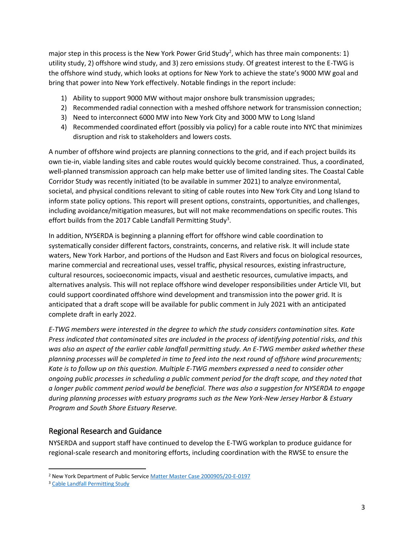major step in this process is the New York Power Grid Study<sup>2</sup>, which has three main components: 1) utility study, 2) offshore wind study, and 3) zero emissions study. Of greatest interest to the E-TWG is the offshore wind study, which looks at options for New York to achieve the state's 9000 MW goal and bring that power into New York effectively. Notable findings in the report include:

- 1) Ability to support 9000 MW without major onshore bulk transmission upgrades;
- 2) Recommended radial connection with a meshed offshore network for transmission connection;
- 3) Need to interconnect 6000 MW into New York City and 3000 MW to Long Island
- 4) Recommended coordinated effort (possibly via policy) for a cable route into NYC that minimizes disruption and risk to stakeholders and lowers costs.

A number of offshore wind projects are planning connections to the grid, and if each project builds its own tie-in, viable landing sites and cable routes would quickly become constrained. Thus, a coordinated, well-planned transmission approach can help make better use of limited landing sites. The Coastal Cable Corridor Study was recently initiated (to be available in summer 2021) to analyze environmental, societal, and physical conditions relevant to siting of cable routes into New York City and Long Island to inform state policy options. This report will present options, constraints, opportunities, and challenges, including avoidance/mitigation measures, but will not make recommendations on specific routes. This effort builds from the 2017 Cable Landfall Permitting Study<sup>3</sup>.

In addition, NYSERDA is beginning a planning effort for offshore wind cable coordination to systematically consider different factors, constraints, concerns, and relative risk. It will include state waters, New York Harbor, and portions of the Hudson and East Rivers and focus on biological resources, marine commercial and recreational uses, vessel traffic, physical resources, existing infrastructure, cultural resources, socioeconomic impacts, visual and aesthetic resources, cumulative impacts, and alternatives analysis. This will not replace offshore wind developer responsibilities under Article VII, but could support coordinated offshore wind development and transmission into the power grid. It is anticipated that a draft scope will be available for public comment in July 2021 with an anticipated complete draft in early 2022.

*E-TWG members were interested in the degree to which the study considers contamination sites. Kate Press indicated that contaminated sites are included in the process of identifying potential risks, and this was also an aspect of the earlier cable landfall permitting study. An E-TWG member asked whether these planning processes will be completed in time to feed into the next round of offshore wind procurements; Kate is to follow up on this question. Multiple E-TWG members expressed a need to consider other ongoing public processes in scheduling a public comment period for the draft scope, and they noted that a longer public comment period would be beneficial. There was also a suggestion for NYSERDA to engage during planning processes with estuary programs such as the New York-New Jersey Harbor & Estuary Program and South Shore Estuary Reserve.*

#### Regional Research and Guidance

NYSERDA and support staff have continued to develop the E-TWG workplan to produce guidance for regional-scale research and monitoring efforts, including coordination with the RWSE to ensure the

 $\overline{a}$ 

<sup>2</sup> New York Department of Public Servic[e Matter Master Case 2000905/20-E-0197](https://documents.dps.ny.gov/public/MatterManagement/CaseMaster.aspx?MatterCaseNo=20-E-0197&CaseSearch=Search)

<sup>&</sup>lt;sup>3</sup> [Cable Landfall Permitting Study](https://www.nyserda.ny.gov/-/media/Files/Publications/Research/Biomass-Solar-Wind/Master-Plan/17-25e-OSW-Cable-Landfall-Permitting-Study.pdf)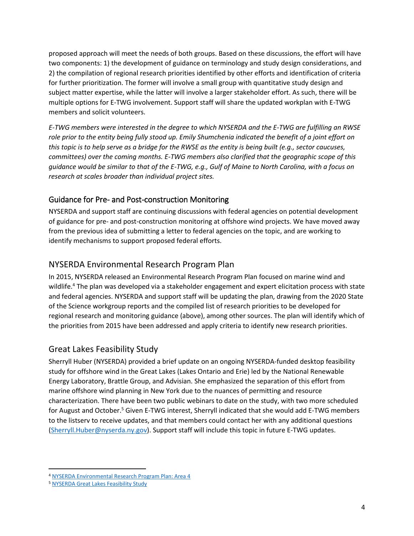proposed approach will meet the needs of both groups. Based on these discussions, the effort will have two components: 1) the development of guidance on terminology and study design considerations, and 2) the compilation of regional research priorities identified by other efforts and identification of criteria for further prioritization. The former will involve a small group with quantitative study design and subject matter expertise, while the latter will involve a larger stakeholder effort. As such, there will be multiple options for E-TWG involvement. Support staff will share the updated workplan with E-TWG members and solicit volunteers.

*E-TWG members were interested in the degree to which NYSERDA and the E-TWG are fulfilling an RWSE role prior to the entity being fully stood up. Emily Shumchenia indicated the benefit of a joint effort on this topic is to help serve as a bridge for the RWSE as the entity is being built (e.g., sector caucuses, committees) over the coming months. E-TWG members also clarified that the geographic scope of this guidance would be similar to that of the E-TWG, e.g., Gulf of Maine to North Carolina, with a focus on research at scales broader than individual project sites.*

#### Guidance for Pre- and Post-construction Monitoring

NYSERDA and support staff are continuing discussions with federal agencies on potential development of guidance for pre- and post-construction monitoring at offshore wind projects. We have moved away from the previous idea of submitting a letter to federal agencies on the topic, and are working to identify mechanisms to support proposed federal efforts.

### NYSERDA Environmental Research Program Plan

In 2015, NYSERDA released an Environmental Research Program Plan focused on marine wind and wildlife.<sup>4</sup> The plan was developed via a stakeholder engagement and expert elicitation process with state and federal agencies. NYSERDA and support staff will be updating the plan, drawing from the 2020 State of the Science workgroup reports and the compiled list of research priorities to be developed for regional research and monitoring guidance (above), among other sources. The plan will identify which of the priorities from 2015 have been addressed and apply criteria to identify new research priorities.

### Great Lakes Feasibility Study

Sherryll Huber (NYSERDA) provided a brief update on an ongoing NYSERDA-funded desktop feasibility study for offshore wind in the Great Lakes (Lakes Ontario and Erie) led by the National Renewable Energy Laboratory, Brattle Group, and Advisian. She emphasized the separation of this effort from marine offshore wind planning in New York due to the nuances of permitting and resource characterization. There have been two public webinars to date on the study, with two more scheduled for August and October.<sup>5</sup> Given E-TWG interest, Sherryll indicated that she would add E-TWG members to the listserv to receive updates, and that members could contact her with any additional questions [\(Sherryll.Huber@nyserda.ny.gov\)](mailto:Sherryll.Huber@nyserda.ny.gov). Support staff will include this topic in future E-TWG updates.

 $\overline{a}$ 

<sup>4</sup> [NYSERDA Environmental Research Program Plan: Area 4](https://www.nyserda.ny.gov/-/media/Files/Publications/Research/Environmental/NYSERDA-Environmental-Research-Program-Research-Area-4-Marine-Wind-Wildlife.pdf)

<sup>5</sup> [NYSERDA Great Lakes Feasibility Study](https://www.nyserda.ny.gov/All%20Programs/Programs/Clean%20Energy%20Standard/Important%20Orders%20Reports%20and%20Filings/Great%20Lakes%20Wind%20Feasibility%20Study)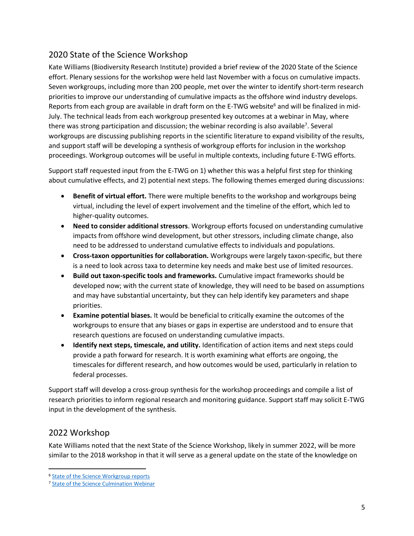# 2020 State of the Science Workshop

Kate Williams (Biodiversity Research Institute) provided a brief review of the 2020 State of the Science effort. Plenary sessions for the workshop were held last November with a focus on cumulative impacts. Seven workgroups, including more than 200 people, met over the winter to identify short-term research priorities to improve our understanding of cumulative impacts as the offshore wind industry develops. Reports from each group are available in draft form on the E-TWG website<sup>6</sup> and will be finalized in mid-July. The technical leads from each workgroup presented key outcomes at a webinar in May, where there was strong participation and discussion; the webinar recording is also available<sup>7</sup>. Several workgroups are discussing publishing reports in the scientific literature to expand visibility of the results, and support staff will be developing a synthesis of workgroup efforts for inclusion in the workshop proceedings. Workgroup outcomes will be useful in multiple contexts, including future E-TWG efforts.

Support staff requested input from the E-TWG on 1) whether this was a helpful first step for thinking about cumulative effects, and 2) potential next steps. The following themes emerged during discussions:

- **Benefit of virtual effort.** There were multiple benefits to the workshop and workgroups being virtual, including the level of expert involvement and the timeline of the effort, which led to higher-quality outcomes.
- **Need to consider additional stressors**. Workgroup efforts focused on understanding cumulative impacts from offshore wind development, but other stressors, including climate change, also need to be addressed to understand cumulative effects to individuals and populations.
- **Cross-taxon opportunities for collaboration.** Workgroups were largely taxon-specific, but there is a need to look across taxa to determine key needs and make best use of limited resources.
- **Build out taxon-specific tools and frameworks.** Cumulative impact frameworks should be developed now; with the current state of knowledge, they will need to be based on assumptions and may have substantial uncertainty, but they can help identify key parameters and shape priorities.
- **Examine potential biases.** It would be beneficial to critically examine the outcomes of the workgroups to ensure that any biases or gaps in expertise are understood and to ensure that research questions are focused on understanding cumulative impacts.
- **Identify next steps, timescale, and utility.** Identification of action items and next steps could provide a path forward for research. It is worth examining what efforts are ongoing, the timescales for different research, and how outcomes would be used, particularly in relation to federal processes.

Support staff will develop a cross-group synthesis for the workshop proceedings and compile a list of research priorities to inform regional research and monitoring guidance. Support staff may solicit E-TWG input in the development of the synthesis.

### 2022 Workshop

 $\overline{a}$ 

Kate Williams noted that the next State of the Science Workshop, likely in summer 2022, will be more similar to the 2018 workshop in that it will serve as a general update on the state of the knowledge on

<sup>6</sup> [State of the Science Workgroup reports](http://www.nyetwg.com/2020-workgroups)

<sup>&</sup>lt;sup>7</sup> [State of the Science Culmination Webinar](http://www.nyetwg.com/2020-workshop)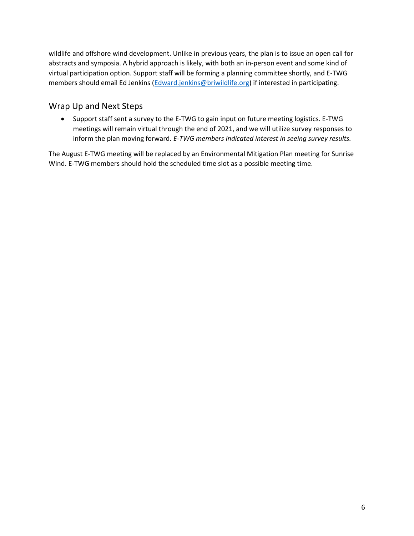wildlife and offshore wind development. Unlike in previous years, the plan is to issue an open call for abstracts and symposia. A hybrid approach is likely, with both an in-person event and some kind of virtual participation option. Support staff will be forming a planning committee shortly, and E-TWG members should email Ed Jenkins [\(Edward.jenkins@briwildlife.org\)](mailto:Edward.jenkins@briwildlife.org) if interested in participating.

#### Wrap Up and Next Steps

• Support staff sent a survey to the E-TWG to gain input on future meeting logistics. E-TWG meetings will remain virtual through the end of 2021, and we will utilize survey responses to inform the plan moving forward. *E-TWG members indicated interest in seeing survey results.*

The August E-TWG meeting will be replaced by an Environmental Mitigation Plan meeting for Sunrise Wind. E-TWG members should hold the scheduled time slot as a possible meeting time.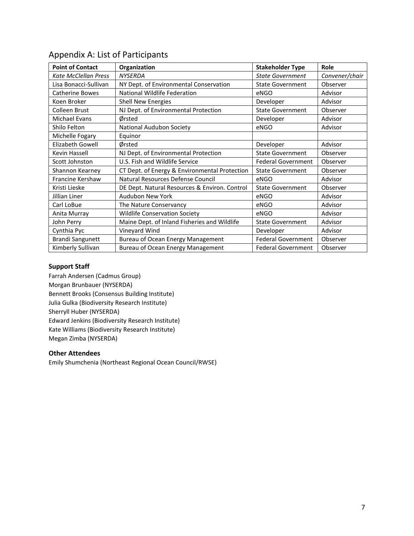| <b>Point of Contact</b>     | Organization                                  | <b>Stakeholder Type</b>   | Role           |
|-----------------------------|-----------------------------------------------|---------------------------|----------------|
| <b>Kate McClellan Press</b> | <b>NYSERDA</b>                                | <b>State Government</b>   | Convener/chair |
| Lisa Bonacci-Sullivan       | NY Dept. of Environmental Conservation        | <b>State Government</b>   | Observer       |
| <b>Catherine Bowes</b>      | National Wildlife Federation                  | eNGO                      | Advisor        |
| Koen Broker                 | <b>Shell New Energies</b>                     | Developer                 | Advisor        |
| Colleen Brust               | NJ Dept. of Environmental Protection          | <b>State Government</b>   | Observer       |
| Michael Evans               | Ørsted                                        | Developer                 | Advisor        |
| Shilo Felton                | National Audubon Society                      | eNGO                      | Advisor        |
| Michelle Fogary             | Equinor                                       |                           |                |
| Elizabeth Gowell            | Ørsted                                        | Developer                 | Advisor        |
| Kevin Hassell               | NJ Dept. of Environmental Protection          | <b>State Government</b>   | Observer       |
| Scott Johnston              | U.S. Fish and Wildlife Service                | <b>Federal Government</b> | Observer       |
| Shannon Kearney             | CT Dept. of Energy & Environmental Protection | <b>State Government</b>   | Observer       |
| <b>Francine Kershaw</b>     | Natural Resources Defense Council             | eNGO                      | Advisor        |
| Kristi Lieske               | DE Dept. Natural Resources & Environ. Control | <b>State Government</b>   | Observer       |
| Jillian Liner               | <b>Audubon New York</b>                       | eNGO                      | Advisor        |
| Carl LoBue                  | The Nature Conservancy                        | eNGO                      | Advisor        |
| Anita Murray                | <b>Wildlife Conservation Society</b>          | eNGO                      | Advisor        |
| John Perry                  | Maine Dept. of Inland Fisheries and Wildlife  | <b>State Government</b>   | Advisor        |
| Cynthia Pyc                 | Vineyard Wind                                 | Developer                 | Advisor        |
| <b>Brandi Sangunett</b>     | Bureau of Ocean Energy Management             | <b>Federal Government</b> | Observer       |
| Kimberly Sullivan           | Bureau of Ocean Energy Management             | <b>Federal Government</b> | Observer       |

### Appendix A: List of Participants

#### **Support Staff**

Farrah Andersen (Cadmus Group) Morgan Brunbauer (NYSERDA) Bennett Brooks (Consensus Building Institute) Julia Gulka (Biodiversity Research Institute) Sherryll Huber (NYSERDA) Edward Jenkins (Biodiversity Research Institute) Kate Williams (Biodiversity Research Institute) Megan Zimba (NYSERDA)

#### **Other Attendees**

Emily Shumchenia (Northeast Regional Ocean Council/RWSE)